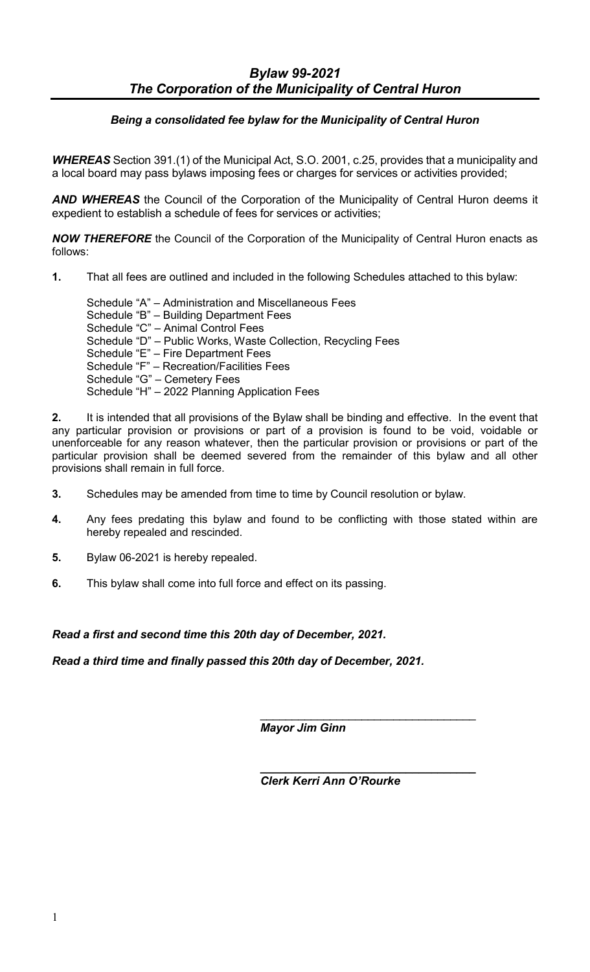# *Being a consolidated fee bylaw for the Municipality of Central Huron*

*WHEREAS* Section 391.(1) of the Municipal Act, S.O. 2001, c.25, provides that a municipality and a local board may pass bylaws imposing fees or charges for services or activities provided;

*AND WHEREAS* the Council of the Corporation of the Municipality of Central Huron deems it expedient to establish a schedule of fees for services or activities;

*NOW THEREFORE* the Council of the Corporation of the Municipality of Central Huron enacts as follows:

**1.** That all fees are outlined and included in the following Schedules attached to this bylaw:

Schedule "A" – Administration and Miscellaneous Fees Schedule "B" – Building Department Fees Schedule "C" – Animal Control Fees Schedule "D" – Public Works, Waste Collection, Recycling Fees Schedule "E" – Fire Department Fees Schedule "F" – Recreation/Facilities Fees Schedule "G" – Cemetery Fees Schedule "H" – 2022 Planning Application Fees

**2.** It is intended that all provisions of the Bylaw shall be binding and effective. In the event that any particular provision or provisions or part of a provision is found to be void, voidable or unenforceable for any reason whatever, then the particular provision or provisions or part of the particular provision shall be deemed severed from the remainder of this bylaw and all other provisions shall remain in full force.

- **3.** Schedules may be amended from time to time by Council resolution or bylaw.
- **4.** Any fees predating this bylaw and found to be conflicting with those stated within are hereby repealed and rescinded.
- **5.** Bylaw 06-2021 is hereby repealed.
- **6.** This bylaw shall come into full force and effect on its passing.

# *Read a first and second time this 20th day of December, 2021.*

*Read a third time and finally passed this 20th day of December, 2021.*

*Mayor Jim Ginn*

*\_\_\_\_\_\_\_\_\_\_\_\_\_\_\_\_\_\_\_\_\_\_\_\_\_\_\_\_\_\_\_\_\_\_ Clerk Kerri Ann O'Rourke*

\_\_\_\_\_\_\_\_\_\_\_\_\_\_\_\_\_\_\_\_\_\_\_\_\_\_\_\_\_\_\_\_\_\_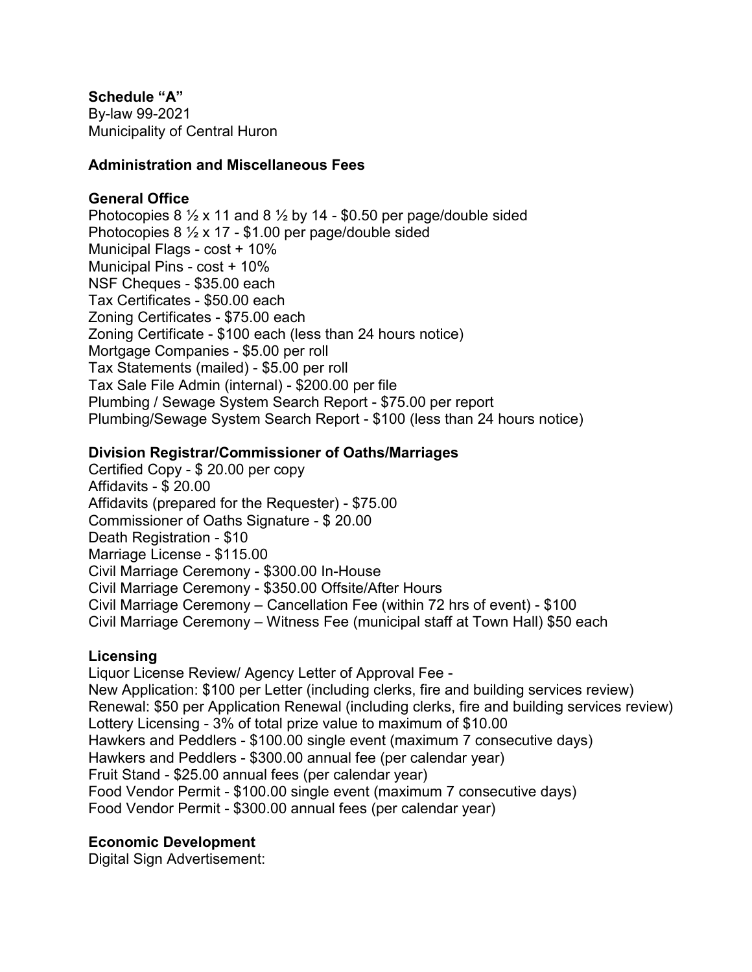**Schedule "A"** By-law 99-2021 Municipality of Central Huron

### **Administration and Miscellaneous Fees**

### **General Office**

Photocopies 8  $\frac{1}{2}$  x 11 and 8  $\frac{1}{2}$  by 14 - \$0.50 per page/double sided Photocopies 8 ½ x 17 - \$1.00 per page/double sided Municipal Flags - cost + 10% Municipal Pins - cost + 10% NSF Cheques - \$35.00 each Tax Certificates - \$50.00 each Zoning Certificates - \$75.00 each Zoning Certificate - \$100 each (less than 24 hours notice) Mortgage Companies - \$5.00 per roll Tax Statements (mailed) - \$5.00 per roll Tax Sale File Admin (internal) - \$200.00 per file Plumbing / Sewage System Search Report - \$75.00 per report Plumbing/Sewage System Search Report - \$100 (less than 24 hours notice)

#### **Division Registrar/Commissioner of Oaths/Marriages**

Certified Copy - \$ 20.00 per copy Affidavits - \$ 20.00 Affidavits (prepared for the Requester) - \$75.00 Commissioner of Oaths Signature - \$ 20.00 Death Registration - \$10 Marriage License - \$115.00 Civil Marriage Ceremony - \$300.00 In-House Civil Marriage Ceremony - \$350.00 Offsite/After Hours Civil Marriage Ceremony – Cancellation Fee (within 72 hrs of event) - \$100 Civil Marriage Ceremony – Witness Fee (municipal staff at Town Hall) \$50 each

### **Licensing**

Liquor License Review/ Agency Letter of Approval Fee - New Application: \$100 per Letter (including clerks, fire and building services review) Renewal: \$50 per Application Renewal (including clerks, fire and building services review) Lottery Licensing - 3% of total prize value to maximum of \$10.00 Hawkers and Peddlers - \$100.00 single event (maximum 7 consecutive days) Hawkers and Peddlers - \$300.00 annual fee (per calendar year) Fruit Stand - \$25.00 annual fees (per calendar year) Food Vendor Permit - \$100.00 single event (maximum 7 consecutive days) Food Vendor Permit - \$300.00 annual fees (per calendar year)

### **Economic Development**

Digital Sign Advertisement: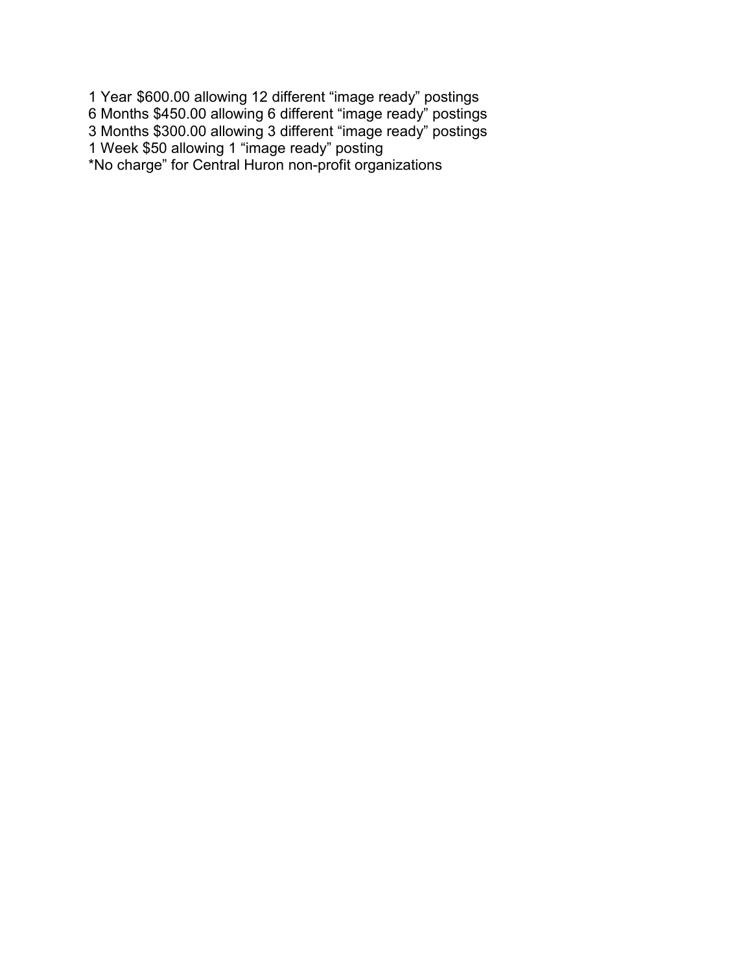1 Year \$600.00 allowing 12 different "image ready" postings 6 Months \$450.00 allowing 6 different "image ready" postings 3 Months \$300.00 allowing 3 different "image ready" postings 1 Week \$50 allowing 1 "image ready" posting \*No charge" for Central Huron non-profit organizations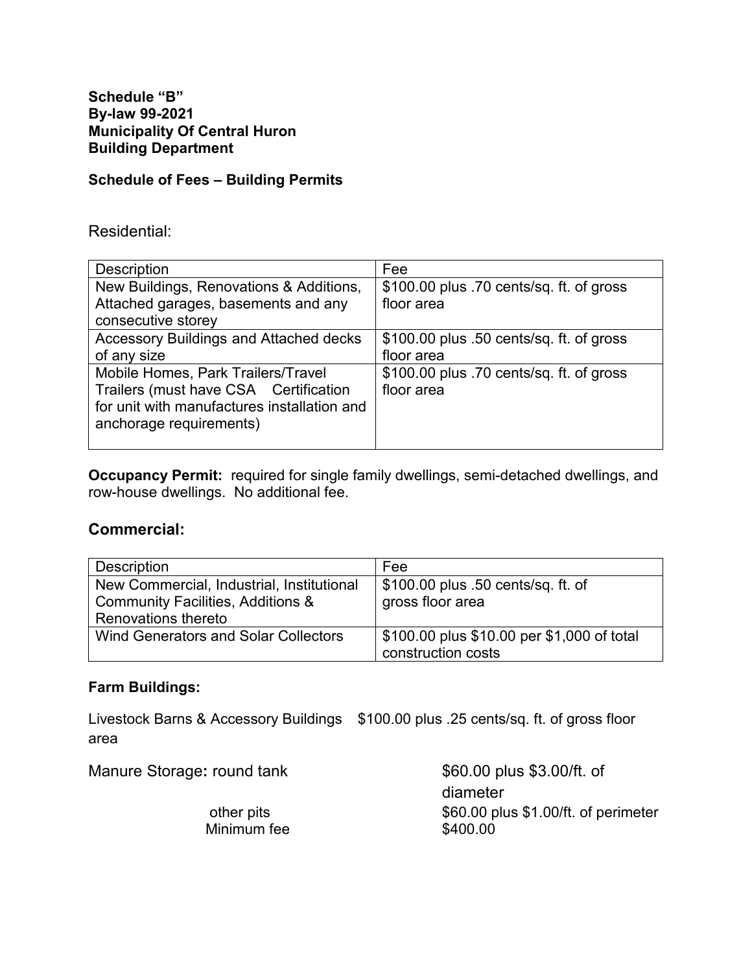## **Schedule of Fees – Building Permits**

#### Residential:

| <b>Description</b>                          | Fee                                       |
|---------------------------------------------|-------------------------------------------|
| New Buildings, Renovations & Additions,     | \$100.00 plus .70 cents/sq. ft. of gross  |
| Attached garages, basements and any         | floor area                                |
| consecutive storey                          |                                           |
| Accessory Buildings and Attached decks      | $$100.00$ plus .50 cents/sq. ft. of gross |
| of any size                                 | floor area                                |
| Mobile Homes, Park Trailers/Travel          | \$100.00 plus .70 cents/sq. ft. of gross  |
| Trailers (must have CSA Certification       | floor area                                |
| for unit with manufactures installation and |                                           |
| anchorage requirements)                     |                                           |
|                                             |                                           |

**Occupancy Permit:** required for single family dwellings, semi-detached dwellings, and row-house dwellings. No additional fee.

### **Commercial:**

| <b>Description</b>                           | Fee                                        |
|----------------------------------------------|--------------------------------------------|
| New Commercial, Industrial, Institutional    | \$100.00 plus .50 cents/sq. ft. of         |
| <b>Community Facilities, Additions &amp;</b> | gross floor area                           |
| Renovations thereto                          |                                            |
| <b>Wind Generators and Solar Collectors</b>  | \$100.00 plus \$10.00 per \$1,000 of total |
|                                              | construction costs                         |

# **Farm Buildings:**

Livestock Barns & Accessory Buildings \$100.00 plus .25 cents/sq. ft. of gross floor area

| Manure Storage: round tank | \$60.00 plus \$3.00/ft. of                       |
|----------------------------|--------------------------------------------------|
|                            | diameter                                         |
| other pits<br>Minimum fee  | \$60.00 plus \$1.00/ft. of perimeter<br>\$400.00 |
|                            |                                                  |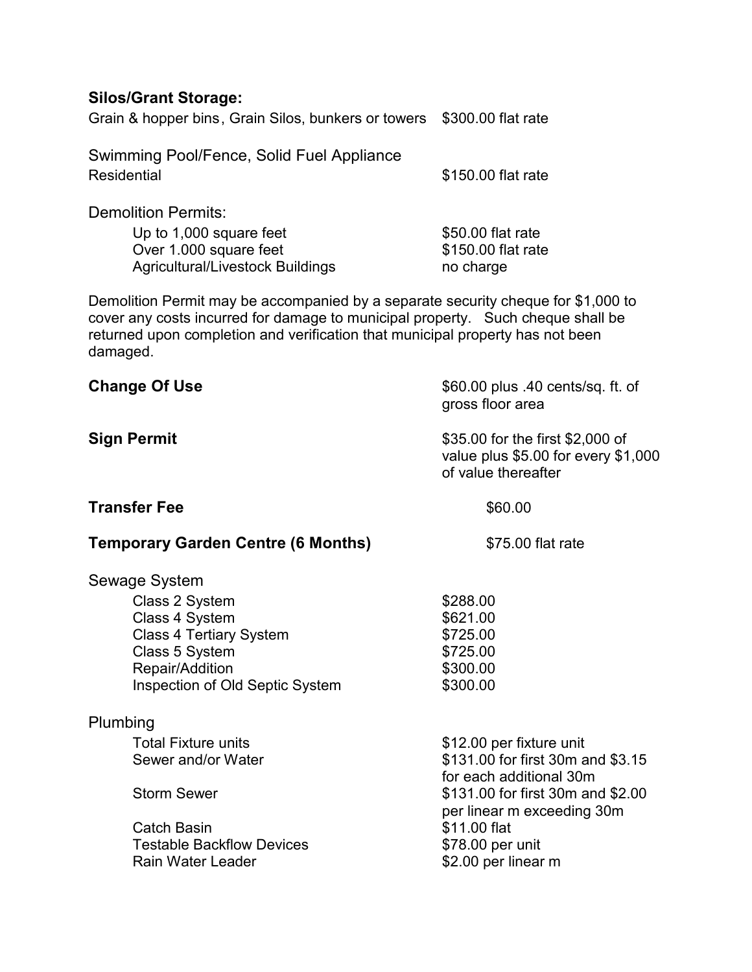# **Silos/Grant Storage:**

Grain & hopper bins, Grain Silos, bunkers or towers \$300.00 flat rate

| Swimming Pool/Fence, Solid Fuel Appliance |                    |
|-------------------------------------------|--------------------|
| Residential                               | \$150.00 flat rate |
| <b>Demolition Permits:</b>                |                    |

Up to 1,000 square feet \$50.00 flat rate Over 1.000 square feet \$150.00 flat rate Agricultural/Livestock Buildings no charge

Demolition Permit may be accompanied by a separate security cheque for \$1,000 to cover any costs incurred for damage to municipal property. Such cheque shall be returned upon completion and verification that municipal property has not been damaged.

| <b>Change Of Use</b>                                                                                                                                                     | \$60.00 plus .40 cents/sq. ft. of<br>gross floor area                                                                                                                                                                  |
|--------------------------------------------------------------------------------------------------------------------------------------------------------------------------|------------------------------------------------------------------------------------------------------------------------------------------------------------------------------------------------------------------------|
| <b>Sign Permit</b>                                                                                                                                                       | \$35.00 for the first \$2,000 of<br>value plus $$5.00$ for every $$1,000$<br>of value thereafter                                                                                                                       |
| <b>Transfer Fee</b>                                                                                                                                                      | \$60.00                                                                                                                                                                                                                |
| <b>Temporary Garden Centre (6 Months)</b>                                                                                                                                | \$75.00 flat rate                                                                                                                                                                                                      |
| Sewage System<br>Class 2 System<br>Class 4 System<br><b>Class 4 Tertiary System</b><br>Class 5 System<br>Repair/Addition<br>Inspection of Old Septic System              | \$288.00<br>\$621.00<br>\$725.00<br>\$725.00<br>\$300.00<br>\$300.00                                                                                                                                                   |
| Plumbing<br><b>Total Fixture units</b><br>Sewer and/or Water<br><b>Storm Sewer</b><br><b>Catch Basin</b><br><b>Testable Backflow Devices</b><br><b>Rain Water Leader</b> | \$12.00 per fixture unit<br>\$131.00 for first 30m and \$3.15<br>for each additional 30m<br>\$131.00 for first 30m and \$2.00<br>per linear m exceeding 30m<br>\$11.00 flat<br>\$78.00 per unit<br>\$2.00 per linear m |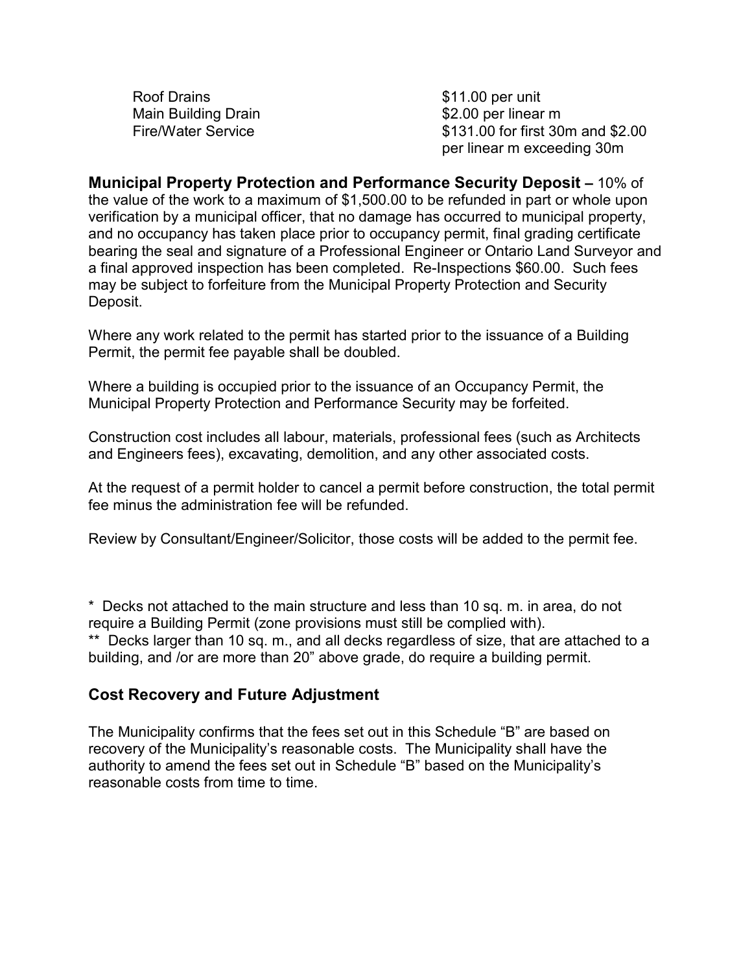Roof Drains **\$11.00 per unit** Main Building Drain **building** Drain **building** the state of the series with the series of the series of the series of the series of the series of the series of the series of the series of the series of the series of the s

Fire/Water Service **business** \$131.00 for first 30m and \$2.00 per linear m exceeding 30m

**Municipal Property Protection and Performance Security Deposit –** 10% of the value of the work to a maximum of \$1,500.00 to be refunded in part or whole upon verification by a municipal officer, that no damage has occurred to municipal property, and no occupancy has taken place prior to occupancy permit, final grading certificate bearing the seal and signature of a Professional Engineer or Ontario Land Surveyor and a final approved inspection has been completed. Re-Inspections \$60.00. Such fees may be subject to forfeiture from the Municipal Property Protection and Security Deposit.

Where any work related to the permit has started prior to the issuance of a Building Permit, the permit fee payable shall be doubled.

Where a building is occupied prior to the issuance of an Occupancy Permit, the Municipal Property Protection and Performance Security may be forfeited.

Construction cost includes all labour, materials, professional fees (such as Architects and Engineers fees), excavating, demolition, and any other associated costs.

At the request of a permit holder to cancel a permit before construction, the total permit fee minus the administration fee will be refunded.

Review by Consultant/Engineer/Solicitor, those costs will be added to the permit fee.

\* Decks not attached to the main structure and less than 10 sq. m. in area, do not require a Building Permit (zone provisions must still be complied with). \*\* Decks larger than 10 sq. m., and all decks regardless of size, that are attached to a building, and /or are more than 20" above grade, do require a building permit.

# **Cost Recovery and Future Adjustment**

The Municipality confirms that the fees set out in this Schedule "B" are based on recovery of the Municipality's reasonable costs. The Municipality shall have the authority to amend the fees set out in Schedule "B" based on the Municipality's reasonable costs from time to time.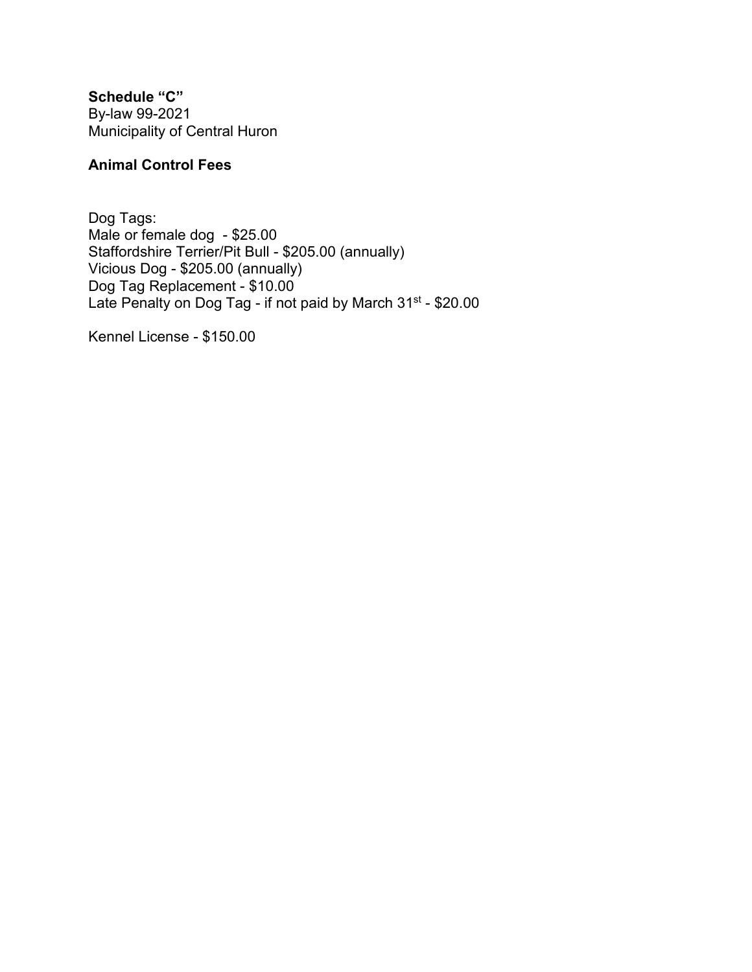**Schedule "C"**  By-law 99-2021 Municipality of Central Huron

# **Animal Control Fees**

Dog Tags: Male or female dog - \$25.00 Staffordshire Terrier/Pit Bull - \$205.00 (annually) Vicious Dog - \$205.00 (annually) Dog Tag Replacement - \$10.00 Late Penalty on Dog Tag - if not paid by March 31st - \$20.00

Kennel License - \$150.00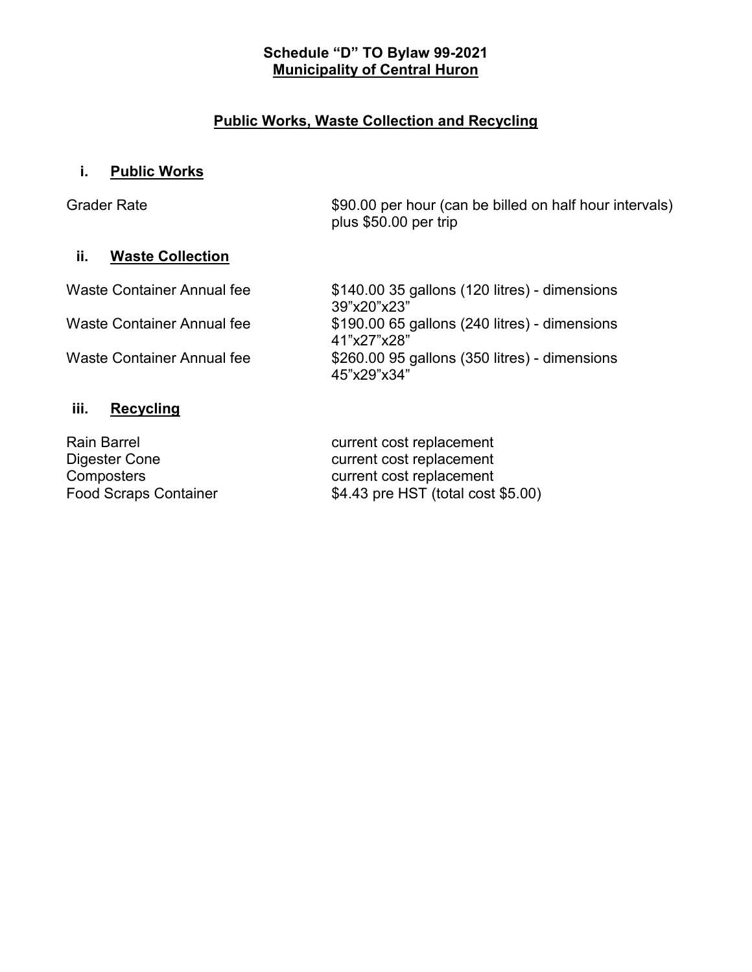### **Schedule "D" TO Bylaw 99-2021 Municipality of Central Huron**

# **Public Works, Waste Collection and Recycling**

# **i. Public Works**

| <b>Grader Rate</b> |  |
|--------------------|--|
|--------------------|--|

\$90.00 per hour (can be billed on half hour intervals) plus \$50.00 per trip

## **ii. Waste Collection**

Waste Container Annual fee  $$140.00 35$  gallons (120 litres) - dimensions

39"x20"x23" Waste Container Annual fee  $$190.00 65$  gallons (240 litres) - dimensions 41"x27"x28" Waste Container Annual fee  $$260.00 95$  gallons (350 litres) - dimensions 45"x29"x34"

# **iii. Recycling**

Rain Barrel **Rain Barrel Current cost replacement** 

Digester Cone current cost replacement<br>
Composters
come current cost replacement Composters<br>
Food Scraps Container<br>
Food Scraps Container<br>
S4.43 pre HST (total cost  $$4.43$  pre HST (total cost  $$5.00$ )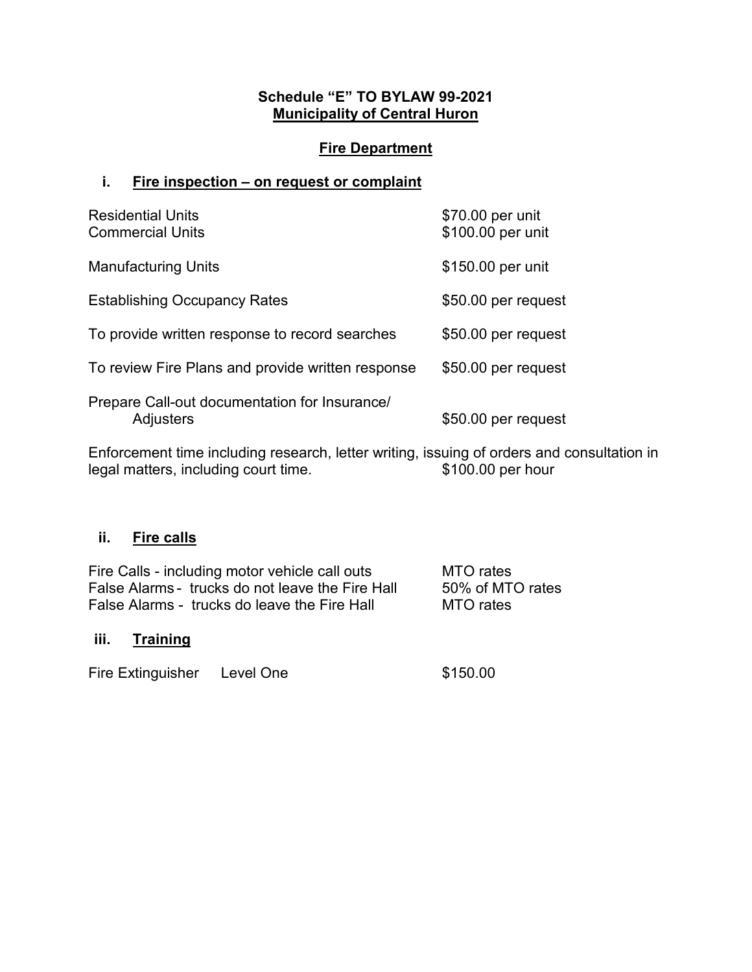# **Schedule "E" TO BYLAW 99-2021 Municipality of Central Huron**

# **Fire Department**

### **i. Fire inspection – on request or complaint**

| <b>Residential Units</b><br><b>Commercial Units</b>               | \$70.00 per unit<br>\$100.00 per unit |
|-------------------------------------------------------------------|---------------------------------------|
| <b>Manufacturing Units</b>                                        | \$150.00 per unit                     |
| <b>Establishing Occupancy Rates</b>                               | \$50.00 per request                   |
| To provide written response to record searches                    | \$50.00 per request                   |
| To review Fire Plans and provide written response                 | \$50.00 per request                   |
| Prepare Call-out documentation for Insurance/<br><b>Adjusters</b> | \$50.00 per request                   |

Enforcement time including research, letter writing, issuing of orders and consultation in<br>legal matters, including court time.<br>\$100.00 per hour legal matters, including court time.

# **ii. Fire calls**

| Fire Calls - including motor vehicle call outs   | MTO rates        |
|--------------------------------------------------|------------------|
| False Alarms - trucks do not leave the Fire Hall | 50% of MTO rates |
| False Alarms - trucks do leave the Fire Hall     | MTO rates        |
|                                                  |                  |

# **iii. Training**

| Fire Extinguisher | Level One | \$150.00 |
|-------------------|-----------|----------|
|-------------------|-----------|----------|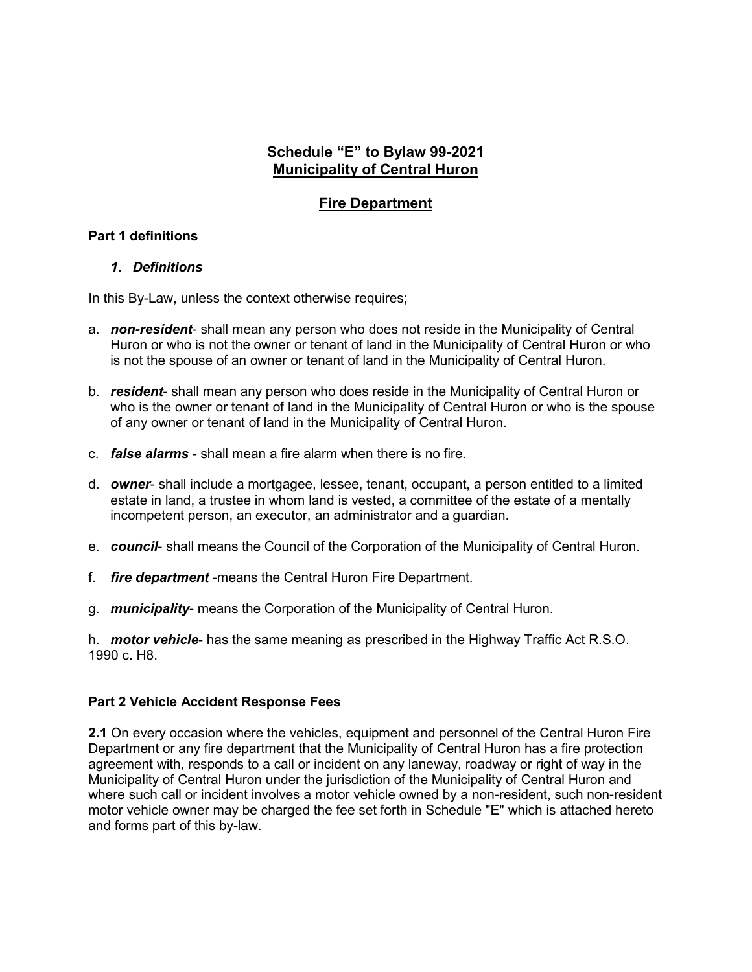### **Schedule "E" to Bylaw 99-2021 Municipality of Central Huron**

### **Fire Department**

### **Part 1 definitions**

#### *1. Definitions*

In this By-Law, unless the context otherwise requires;

- a. *non-resident* shall mean any person who does not reside in the Municipality of Central Huron or who is not the owner or tenant of land in the Municipality of Central Huron or who is not the spouse of an owner or tenant of land in the Municipality of Central Huron.
- b. *resident* shall mean any person who does reside in the Municipality of Central Huron or who is the owner or tenant of land in the Municipality of Central Huron or who is the spouse of any owner or tenant of land in the Municipality of Central Huron.
- c. *false alarms* shall mean a fire alarm when there is no fire.
- d. *owner* shall include a mortgagee, lessee, tenant, occupant, a person entitled to a limited estate in land, a trustee in whom land is vested, a committee of the estate of a mentally incompetent person, an executor, an administrator and a guardian.
- e. *council* shall means the Council of the Corporation of the Municipality of Central Huron.
- f. *fire department* -means the Central Huron Fire Department.
- g. *municipality* means the Corporation of the Municipality of Central Huron.

h. *motor vehicle*- has the same meaning as prescribed in the Highway Traffic Act R.S.O. 1990 c. H8.

### **Part 2 Vehicle Accident Response Fees**

**2.1** On every occasion where the vehicles, equipment and personnel of the Central Huron Fire Department or any fire department that the Municipality of Central Huron has a fire protection agreement with, responds to a call or incident on any laneway, roadway or right of way in the Municipality of Central Huron under the jurisdiction of the Municipality of Central Huron and where such call or incident involves a motor vehicle owned by a non-resident, such non-resident motor vehicle owner may be charged the fee set forth in Schedule "E" which is attached hereto and forms part of this by-law.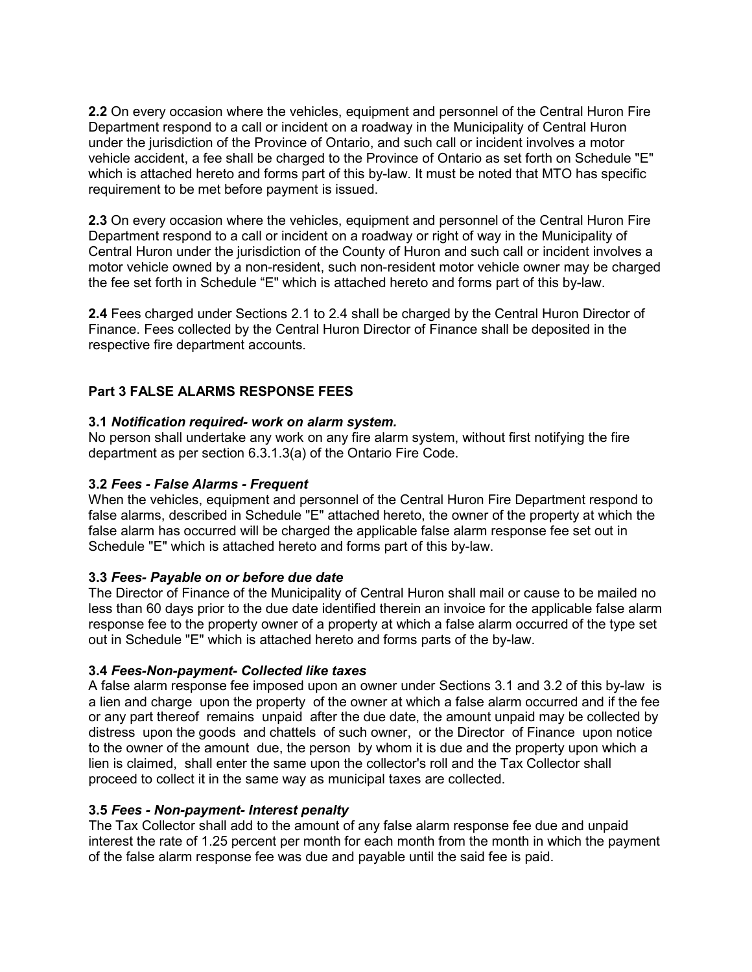**2.2** On every occasion where the vehicles, equipment and personnel of the Central Huron Fire Department respond to a call or incident on a roadway in the Municipality of Central Huron under the jurisdiction of the Province of Ontario, and such call or incident involves a motor vehicle accident, a fee shall be charged to the Province of Ontario as set forth on Schedule "E" which is attached hereto and forms part of this by-law. It must be noted that MTO has specific requirement to be met before payment is issued.

**2.3** On every occasion where the vehicles, equipment and personnel of the Central Huron Fire Department respond to a call or incident on a roadway or right of way in the Municipality of Central Huron under the jurisdiction of the County of Huron and such call or incident involves a motor vehicle owned by a non-resident, such non-resident motor vehicle owner may be charged the fee set forth in Schedule "E" which is attached hereto and forms part of this by-law.

**2.4** Fees charged under Sections 2.1 to 2.4 shall be charged by the Central Huron Director of Finance. Fees collected by the Central Huron Director of Finance shall be deposited in the respective fire department accounts.

### **Part 3 FALSE ALARMS RESPONSE FEES**

#### **3.1** *Notification required- work on alarm system.*

No person shall undertake any work on any fire alarm system, without first notifying the fire department as per section 6.3.1.3(a) of the Ontario Fire Code.

#### **3.2** *Fees - False Alarms - Frequent*

When the vehicles, equipment and personnel of the Central Huron Fire Department respond to false alarms, described in Schedule "E" attached hereto, the owner of the property at which the false alarm has occurred will be charged the applicable false alarm response fee set out in Schedule "E" which is attached hereto and forms part of this by-law.

#### **3.3** *Fees- Payable on or before due date*

The Director of Finance of the Municipality of Central Huron shall mail or cause to be mailed no less than 60 days prior to the due date identified therein an invoice for the applicable false alarm response fee to the property owner of a property at which a false alarm occurred of the type set out in Schedule "E" which is attached hereto and forms parts of the by-law.

#### **3.4** *Fees-Non-payment- Collected like taxes*

A false alarm response fee imposed upon an owner under Sections 3.1 and 3.2 of this by-law is a lien and charge upon the property of the owner at which a false alarm occurred and if the fee or any part thereof remains unpaid after the due date, the amount unpaid may be collected by distress upon the goods and chattels of such owner, or the Director of Finance upon notice to the owner of the amount due, the person by whom it is due and the property upon which a lien is claimed, shall enter the same upon the collector's roll and the Tax Collector shall proceed to collect it in the same way as municipal taxes are collected.

#### **3.5** *Fees - Non-payment- Interest penalty*

The Tax Collector shall add to the amount of any false alarm response fee due and unpaid interest the rate of 1.25 percent per month for each month from the month in which the payment of the false alarm response fee was due and payable until the said fee is paid.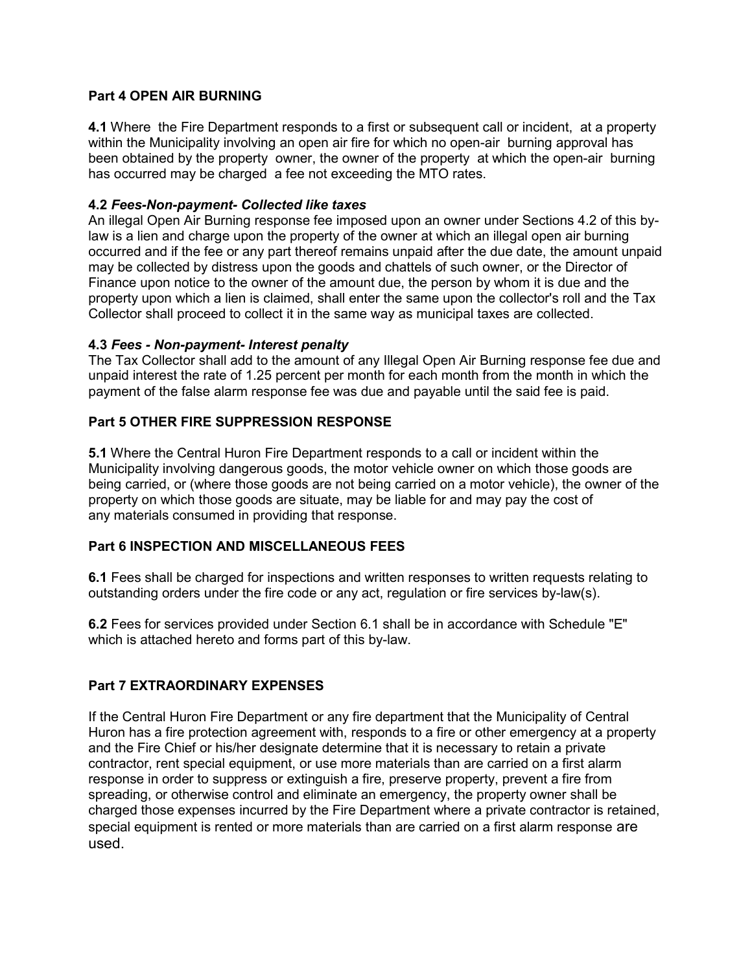#### **Part 4 OPEN AIR BURNING**

**4.1** Where the Fire Department responds to a first or subsequent call or incident, at a property within the Municipality involving an open air fire for which no open-air burning approval has been obtained by the property owner, the owner of the property at which the open-air burning has occurred may be charged a fee not exceeding the MTO rates.

#### **4.2** *Fees-Non-payment- Collected like taxes*

An illegal Open Air Burning response fee imposed upon an owner under Sections 4.2 of this bylaw is a lien and charge upon the property of the owner at which an illegal open air burning occurred and if the fee or any part thereof remains unpaid after the due date, the amount unpaid may be collected by distress upon the goods and chattels of such owner, or the Director of Finance upon notice to the owner of the amount due, the person by whom it is due and the property upon which a lien is claimed, shall enter the same upon the collector's roll and the Tax Collector shall proceed to collect it in the same way as municipal taxes are collected.

#### **4.3** *Fees - Non-payment- Interest penalty*

The Tax Collector shall add to the amount of any Illegal Open Air Burning response fee due and unpaid interest the rate of 1.25 percent per month for each month from the month in which the payment of the false alarm response fee was due and payable until the said fee is paid.

#### **Part 5 OTHER FIRE SUPPRESSION RESPONSE**

**5.1** Where the Central Huron Fire Department responds to a call or incident within the Municipality involving dangerous goods, the motor vehicle owner on which those goods are being carried, or (where those goods are not being carried on a motor vehicle), the owner of the property on which those goods are situate, may be liable for and may pay the cost of any materials consumed in providing that response.

#### **Part 6 INSPECTION AND MISCELLANEOUS FEES**

**6.1** Fees shall be charged for inspections and written responses to written requests relating to outstanding orders under the fire code or any act, regulation or fire services by-law(s).

**6.2** Fees for services provided under Section 6.1 shall be in accordance with Schedule "E" which is attached hereto and forms part of this by-law.

#### **Part 7 EXTRAORDINARY EXPENSES**

If the Central Huron Fire Department or any fire department that the Municipality of Central Huron has a fire protection agreement with, responds to a fire or other emergency at a property and the Fire Chief or his/her designate determine that it is necessary to retain a private contractor, rent special equipment, or use more materials than are carried on a first alarm response in order to suppress or extinguish a fire, preserve property, prevent a fire from spreading, or otherwise control and eliminate an emergency, the property owner shall be charged those expenses incurred by the Fire Department where a private contractor is retained, special equipment is rented or more materials than are carried on a first alarm response are used.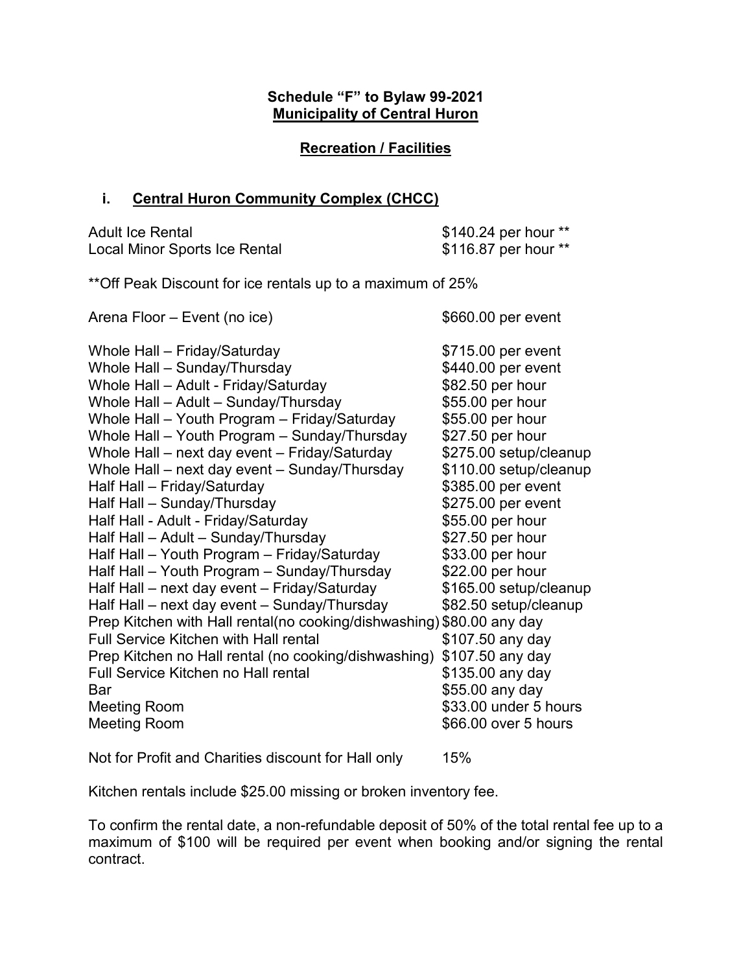# **Schedule "F" to Bylaw 99-2021 Municipality of Central Huron**

## **Recreation / Facilities**

## **i. Central Huron Community Complex (CHCC)**

| <b>Adult Ice Rental</b>       | \$140.24 per hour ** |
|-------------------------------|----------------------|
| Local Minor Sports Ice Rental | \$116.87 per hour ** |

\*\*Off Peak Discount for ice rentals up to a maximum of 25%

| Arena Floor – Event (no ice)                                          | \$660.00 per event     |
|-----------------------------------------------------------------------|------------------------|
| Whole Hall - Friday/Saturday                                          | \$715.00 per event     |
| Whole Hall - Sunday/Thursday                                          | \$440.00 per event     |
| Whole Hall - Adult - Friday/Saturday                                  | \$82.50 per hour       |
| Whole Hall - Adult - Sunday/Thursday                                  | \$55.00 per hour       |
| Whole Hall - Youth Program - Friday/Saturday                          | \$55.00 per hour       |
| Whole Hall - Youth Program - Sunday/Thursday                          | \$27.50 per hour       |
| Whole Hall - next day event - Friday/Saturday                         | \$275.00 setup/cleanup |
| Whole Hall – next day event – Sunday/Thursday                         | \$110.00 setup/cleanup |
| Half Hall - Friday/Saturday                                           | \$385.00 per event     |
| Half Hall - Sunday/Thursday                                           | \$275.00 per event     |
| Half Hall - Adult - Friday/Saturday                                   | \$55.00 per hour       |
| Half Hall - Adult - Sunday/Thursday                                   | \$27.50 per hour       |
| Half Hall - Youth Program - Friday/Saturday                           | \$33.00 per hour       |
| Half Hall - Youth Program - Sunday/Thursday                           | \$22.00 per hour       |
| Half Hall - next day event - Friday/Saturday                          | \$165.00 setup/cleanup |
| Half Hall – next day event – Sunday/Thursday                          | \$82.50 setup/cleanup  |
| Prep Kitchen with Hall rental(no cooking/dishwashing) \$80.00 any day |                        |
| <b>Full Service Kitchen with Hall rental</b>                          | \$107.50 any day       |
| Prep Kitchen no Hall rental (no cooking/dishwashing) \$107.50 any day |                        |
| Full Service Kitchen no Hall rental                                   | \$135.00 any day       |
| Bar                                                                   | \$55.00 any day        |
| <b>Meeting Room</b>                                                   | \$33.00 under 5 hours  |
| <b>Meeting Room</b>                                                   | \$66.00 over 5 hours   |
|                                                                       |                        |

Not for Profit and Charities discount for Hall only 15%

Kitchen rentals include \$25.00 missing or broken inventory fee.

To confirm the rental date, a non-refundable deposit of 50% of the total rental fee up to a maximum of \$100 will be required per event when booking and/or signing the rental contract.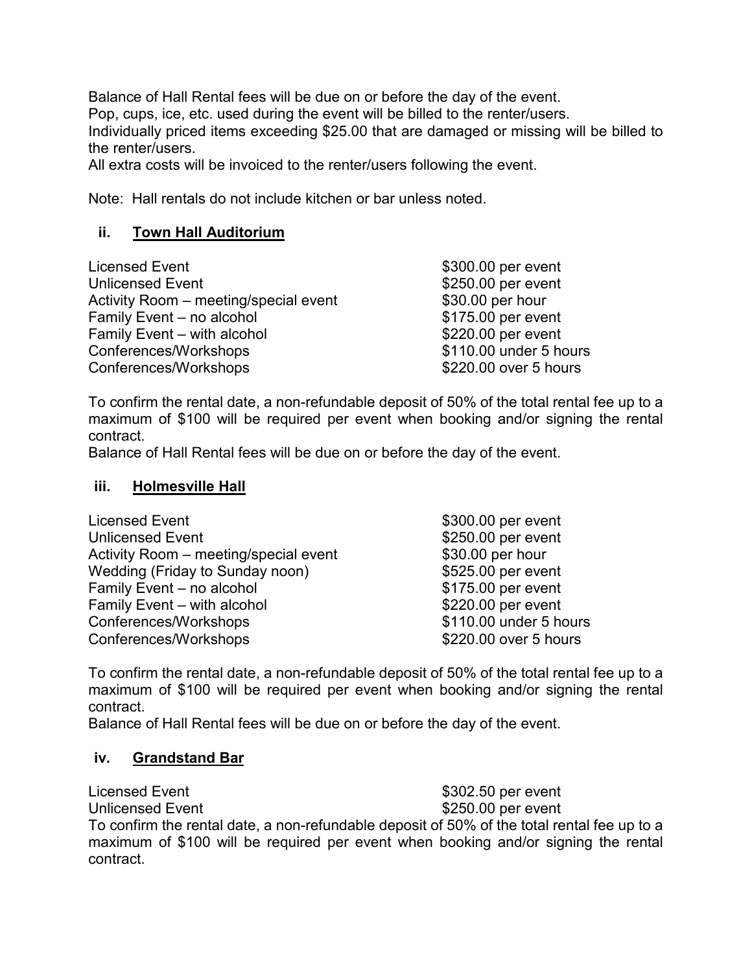Balance of Hall Rental fees will be due on or before the day of the event. Pop, cups, ice, etc. used during the event will be billed to the renter/users. Individually priced items exceeding \$25.00 that are damaged or missing will be billed to the renter/users.

All extra costs will be invoiced to the renter/users following the event.

Note: Hall rentals do not include kitchen or bar unless noted.

# **ii. Town Hall Auditorium**

| Licensed Event                        | \$300.00 per event     |
|---------------------------------------|------------------------|
| <b>Unlicensed Event</b>               | \$250.00 per event     |
| Activity Room – meeting/special event | \$30.00 per hour       |
| Family Event - no alcohol             | \$175.00 per event     |
| Family Event - with alcohol           | \$220.00 per event     |
| Conferences/Workshops                 | \$110.00 under 5 hours |
| Conferences/Workshops                 | \$220.00 over 5 hours  |

To confirm the rental date, a non-refundable deposit of 50% of the total rental fee up to a maximum of \$100 will be required per event when booking and/or signing the rental contract.

Balance of Hall Rental fees will be due on or before the day of the event.

### **iii. Holmesville Hall**

| Licensed Event                        | \$300.00 per event     |
|---------------------------------------|------------------------|
| <b>Unlicensed Event</b>               | \$250.00 per event     |
| Activity Room - meeting/special event | \$30.00 per hour       |
| Wedding (Friday to Sunday noon)       | \$525.00 per event     |
| Family Event - no alcohol             | \$175.00 per event     |
| Family Event - with alcohol           | \$220.00 per event     |
| Conferences/Workshops                 | \$110.00 under 5 hours |
| Conferences/Workshops                 | \$220.00 over 5 hours  |

To confirm the rental date, a non-refundable deposit of 50% of the total rental fee up to a maximum of \$100 will be required per event when booking and/or signing the rental contract.

Balance of Hall Rental fees will be due on or before the day of the event.

# **iv. Grandstand Bar**

Licensed Event **Exercise 2002.50** per event Unlicensed Event **\$250.00 per event** To confirm the rental date, a non-refundable deposit of 50% of the total rental fee up to a maximum of \$100 will be required per event when booking and/or signing the rental contract.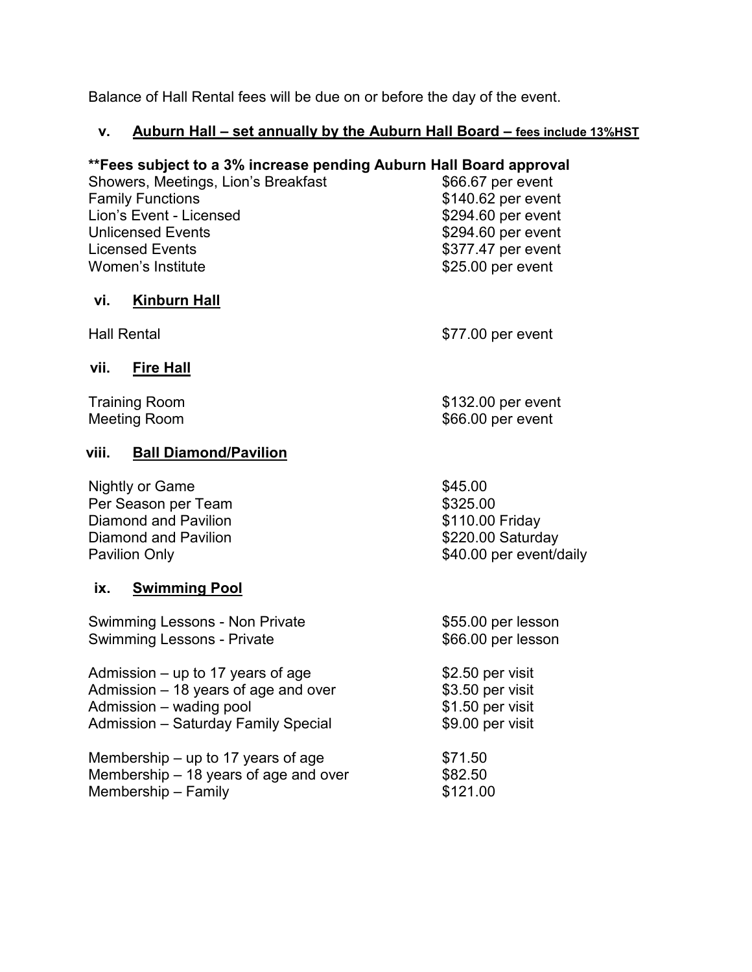Balance of Hall Rental fees will be due on or before the day of the event.

# **v. Auburn Hall – set annually by the Auburn Hall Board – fees include 13%HST**

# **\*\*Fees subject to a 3% increase pending Auburn Hall Board approval**

Showers, Meetings, Lion's Breakfast<br>
Family Functions<br>
\$140.62 per event Lion's Event - Licensed<br>
Unlicensed Events<br>
Unlicensed Events<br>
\$294.60 per event Licensed Events<br>
Women's Institute<br>
Women's Institute<br>
Women's Institute

# **vi. Kinburn Hall**

Hall Rental **Hall Rental 1999 1999 1999 1999 1999 1999 1999 1999 1999 1999 1999 1999 1999 1999 1999 1999 1999 1999 1999 1999 1999 1999 1999 1999 1999 1999 1999 1999**

 $$66.00$  per event

 $$140.62$  per event

 $$294.60$  per event

 $$25.00$  per event

## **vii. Fire Hall**

Training Room \$132.00 per event

# **viii. Ball Diamond/Pavilion**

| Nightly or Game      | \$45.00                 |
|----------------------|-------------------------|
| Per Season per Team  | \$325.00                |
| Diamond and Pavilion | \$110.00 Friday         |
| Diamond and Pavilion | \$220.00 Saturday       |
| <b>Pavilion Only</b> | \$40.00 per event/daily |
|                      |                         |

### **ix. Swimming Pool**

| <b>Swimming Lessons - Non Private</b> | \$55.00 per lesson |  |  |
|---------------------------------------|--------------------|--|--|
| <b>Swimming Lessons - Private</b>     | \$66.00 per lesson |  |  |
| Admission $-$ up to 17 years of age   | \$2.50 per visit   |  |  |
| Admission $-18$ years of age and over | \$3.50 per visit   |  |  |
| Admission - wading pool               | \$1.50 per visit   |  |  |
| Admission - Saturday Family Special   | \$9.00 per visit   |  |  |
| Membership $-$ up to 17 years of age  | \$71.50            |  |  |
| Membership - 18 years of age and over | \$82.50            |  |  |
| Membership - Family                   | \$121.00           |  |  |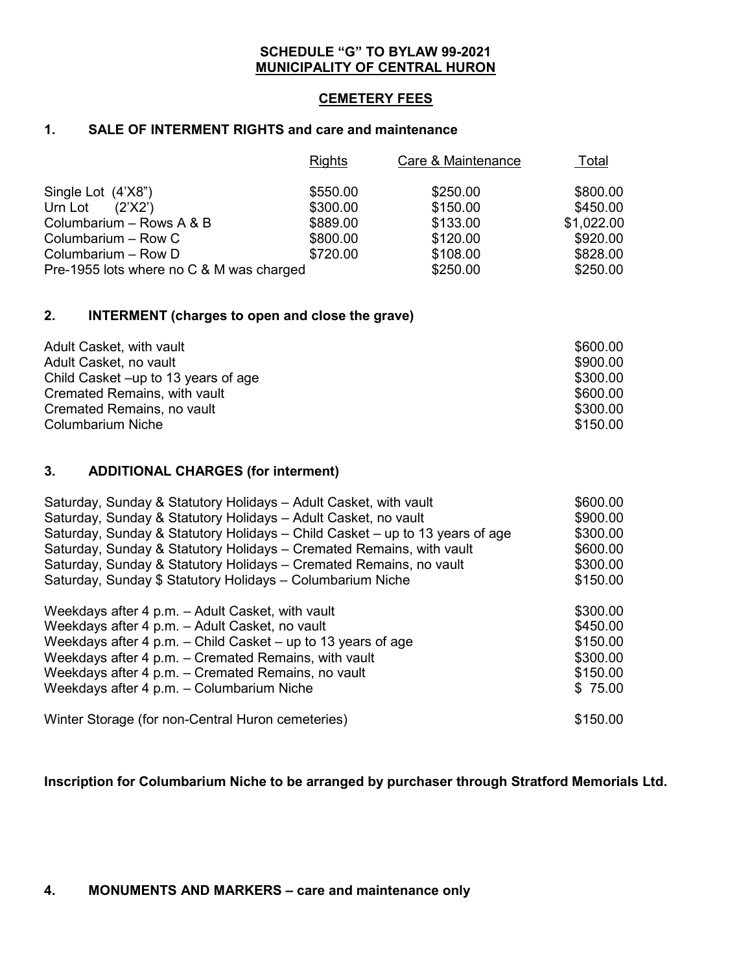#### **SCHEDULE "G" TO BYLAW 99-2021 MUNICIPALITY OF CENTRAL HURON**

#### **CEMETERY FEES**

### **1. SALE OF INTERMENT RIGHTS and care and maintenance**

|                                          | <b>Rights</b> | Care & Maintenance | <u>Total</u> |
|------------------------------------------|---------------|--------------------|--------------|
| Single Lot (4'X8")                       | \$550.00      | \$250.00           | \$800.00     |
| Urn Lot<br>(2'X2')                       | \$300.00      | \$150.00           | \$450.00     |
| Columbarium - Rows A & B                 | \$889.00      | \$133.00           | \$1,022.00   |
| Columbarium - Row C                      | \$800.00      | \$120.00           | \$920.00     |
| Columbarium - Row D                      | \$720.00      | \$108.00           | \$828.00     |
| Pre-1955 lots where no C & M was charged |               | \$250.00           | \$250.00     |

#### **2. INTERMENT (charges to open and close the grave)**

| Adult Casket, with vault            | \$600.00 |
|-------------------------------------|----------|
| Adult Casket, no vault              | \$900.00 |
| Child Casket –up to 13 years of age | \$300.00 |
| Cremated Remains, with vault        | \$600.00 |
| Cremated Remains, no vault          | \$300.00 |
| <b>Columbarium Niche</b>            | \$150.00 |

#### **3. ADDITIONAL CHARGES (for interment)**

| Saturday, Sunday & Statutory Holidays - Adult Casket, with vault             | \$600.00 |
|------------------------------------------------------------------------------|----------|
| Saturday, Sunday & Statutory Holidays - Adult Casket, no vault               | \$900.00 |
| Saturday, Sunday & Statutory Holidays – Child Casket – up to 13 years of age | \$300.00 |
| Saturday, Sunday & Statutory Holidays - Cremated Remains, with vault         | \$600.00 |
| Saturday, Sunday & Statutory Holidays - Cremated Remains, no vault           | \$300.00 |
| Saturday, Sunday \$ Statutory Holidays - Columbarium Niche                   | \$150.00 |
| Weekdays after 4 p.m. - Adult Casket, with vault                             | \$300.00 |
| Weekdays after 4 p.m. - Adult Casket, no vault                               | \$450.00 |
| Weekdays after 4 p.m. - Child Casket - up to 13 years of age                 | \$150.00 |
| Weekdays after 4 p.m. - Cremated Remains, with vault                         | \$300.00 |
| Weekdays after 4 p.m. - Cremated Remains, no vault                           | \$150.00 |
| Weekdays after 4 p.m. - Columbarium Niche                                    | \$75.00  |
| Winter Storage (for non-Central Huron cemeteries)                            | \$150.00 |

**Inscription for Columbarium Niche to be arranged by purchaser through Stratford Memorials Ltd.**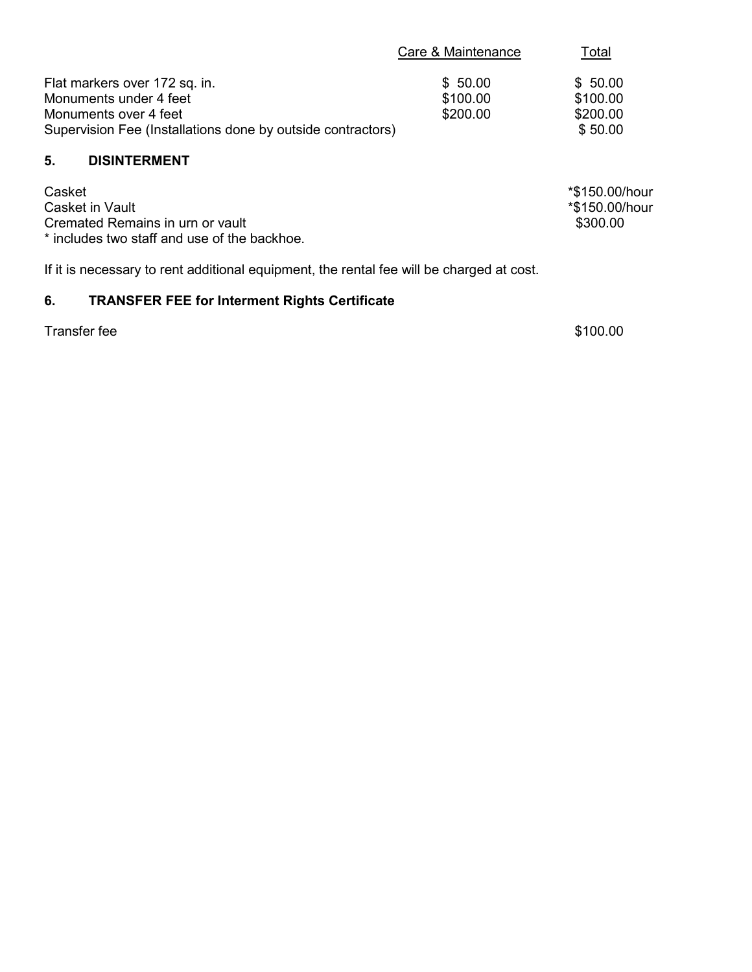|                                                             | Care & Maintenance | <u>Total</u> |
|-------------------------------------------------------------|--------------------|--------------|
| Flat markers over 172 sq. in.                               | \$50.00            | \$50.00      |
| Monuments under 4 feet                                      | \$100.00           | \$100.00     |
| Monuments over 4 feet                                       | \$200.00           | \$200.00     |
| Supervision Fee (Installations done by outside contractors) |                    | \$50.00      |
|                                                             |                    |              |

#### **5. DISINTERMENT**

| Casket                                       | *\$150.00/hour |
|----------------------------------------------|----------------|
| Casket in Vault                              | *\$150.00/hour |
| Cremated Remains in urn or vault             | \$300.00       |
| * includes two staff and use of the backhoe. |                |

If it is necessary to rent additional equipment, the rental fee will be charged at cost.

# **6. TRANSFER FEE for Interment Rights Certificate**

Transfer fee \$100.00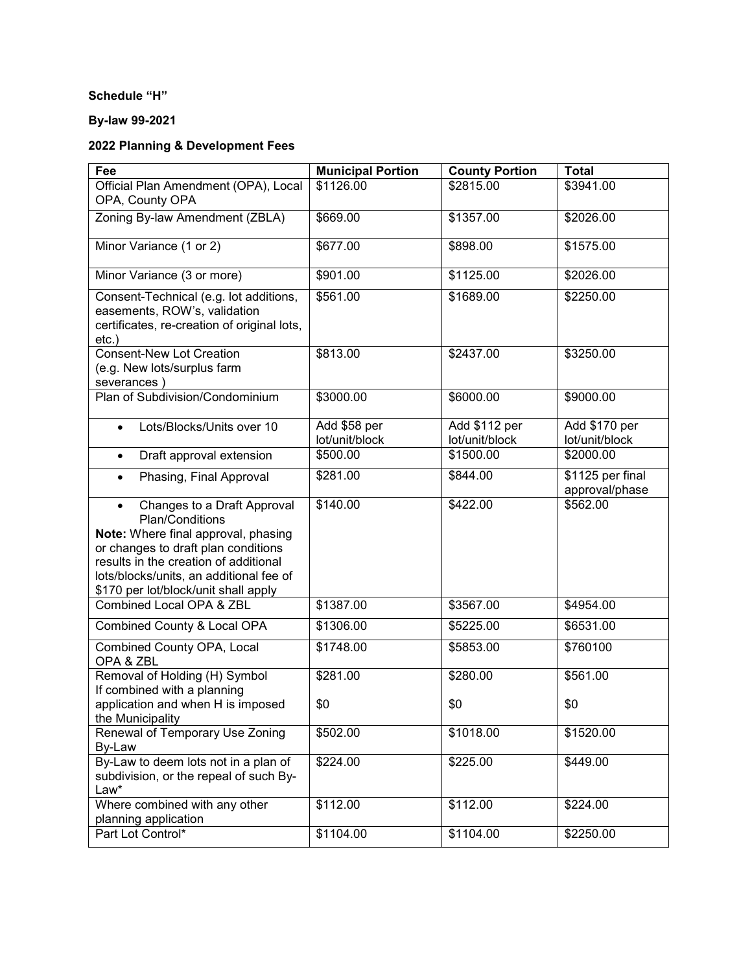#### **Schedule "H"**

### **By-law 99-2021**

# **2022 Planning & Development Fees**

| Fee                                                                                                                                                                                                                                                                   | <b>Municipal Portion</b>       | <b>County Portion</b>           | <b>Total</b>                       |
|-----------------------------------------------------------------------------------------------------------------------------------------------------------------------------------------------------------------------------------------------------------------------|--------------------------------|---------------------------------|------------------------------------|
| Official Plan Amendment (OPA), Local<br>OPA, County OPA                                                                                                                                                                                                               | \$1126.00                      | \$2815.00                       | \$3941.00                          |
| Zoning By-law Amendment (ZBLA)                                                                                                                                                                                                                                        | \$669.00                       | \$1357.00                       | \$2026.00                          |
| Minor Variance (1 or 2)                                                                                                                                                                                                                                               | \$677.00                       | \$898.00                        | \$1575.00                          |
| Minor Variance (3 or more)                                                                                                                                                                                                                                            | \$901.00                       | \$1125.00                       | \$2026.00                          |
| Consent-Technical (e.g. lot additions,<br>easements, ROW's, validation<br>certificates, re-creation of original lots,<br>$etc.$ )                                                                                                                                     | \$561.00                       | \$1689.00                       | \$2250.00                          |
| <b>Consent-New Lot Creation</b><br>(e.g. New lots/surplus farm<br>severances)                                                                                                                                                                                         | \$813.00                       | \$2437.00                       | \$3250.00                          |
| Plan of Subdivision/Condominium                                                                                                                                                                                                                                       | \$3000.00                      | \$6000.00                       | \$9000.00                          |
| Lots/Blocks/Units over 10                                                                                                                                                                                                                                             | Add \$58 per<br>lot/unit/block | Add \$112 per<br>lot/unit/block | Add \$170 per<br>lot/unit/block    |
| Draft approval extension<br>$\bullet$                                                                                                                                                                                                                                 | \$500.00                       | \$1500.00                       | \$2000.00                          |
| Phasing, Final Approval<br>$\bullet$                                                                                                                                                                                                                                  | \$281.00                       | \$844.00                        | \$1125 per final<br>approval/phase |
| Changes to a Draft Approval<br>$\bullet$<br>Plan/Conditions<br>Note: Where final approval, phasing<br>or changes to draft plan conditions<br>results in the creation of additional<br>lots/blocks/units, an additional fee of<br>\$170 per lot/block/unit shall apply | \$140.00                       | \$422.00                        | \$562.00                           |
| Combined Local OPA & ZBL                                                                                                                                                                                                                                              | \$1387.00                      | \$3567.00                       | \$4954.00                          |
| Combined County & Local OPA                                                                                                                                                                                                                                           | \$1306.00                      | \$5225.00                       | \$6531.00                          |
| <b>Combined County OPA, Local</b><br>OPA & ZBL                                                                                                                                                                                                                        | \$1748.00                      | \$5853.00                       | \$760100                           |
| Removal of Holding (H) Symbol<br>If combined with a planning<br>application and when H is imposed                                                                                                                                                                     | \$281.00<br>\$0                | \$280.00<br>\$0                 | \$561.00<br>\$0                    |
| the Municipality                                                                                                                                                                                                                                                      |                                |                                 |                                    |
| Renewal of Temporary Use Zoning<br>By-Law                                                                                                                                                                                                                             | \$502.00                       | \$1018.00                       | \$1520.00                          |
| By-Law to deem lots not in a plan of<br>subdivision, or the repeal of such By-<br>Law*                                                                                                                                                                                | \$224.00                       | \$225.00                        | \$449.00                           |
| Where combined with any other<br>planning application                                                                                                                                                                                                                 | \$112.00                       | \$112.00                        | \$224.00                           |
| Part Lot Control*                                                                                                                                                                                                                                                     | \$1104.00                      | \$1104.00                       | \$2250.00                          |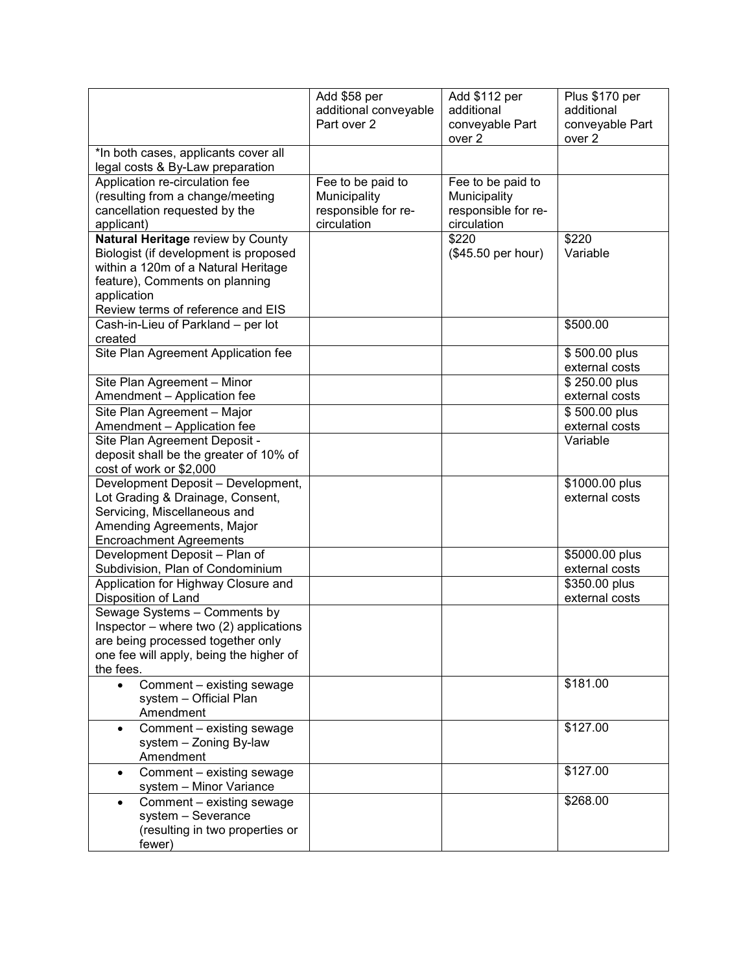|                                                                                                                                                                                                         | Add \$58 per<br>additional conveyable<br>Part over 2                    | Add \$112 per<br>additional<br>conveyable Part<br>over <sub>2</sub>     | Plus \$170 per<br>additional<br>conveyable Part<br>over 2 |
|---------------------------------------------------------------------------------------------------------------------------------------------------------------------------------------------------------|-------------------------------------------------------------------------|-------------------------------------------------------------------------|-----------------------------------------------------------|
| *In both cases, applicants cover all<br>legal costs & By-Law preparation                                                                                                                                |                                                                         |                                                                         |                                                           |
| Application re-circulation fee<br>(resulting from a change/meeting<br>cancellation requested by the<br>applicant)                                                                                       | Fee to be paid to<br>Municipality<br>responsible for re-<br>circulation | Fee to be paid to<br>Municipality<br>responsible for re-<br>circulation |                                                           |
| Natural Heritage review by County<br>Biologist (if development is proposed<br>within a 120m of a Natural Heritage<br>feature), Comments on planning<br>application<br>Review terms of reference and EIS |                                                                         | \$220<br>(\$45.50 per hour)                                             | \$220<br>Variable                                         |
| Cash-in-Lieu of Parkland - per lot<br>created                                                                                                                                                           |                                                                         |                                                                         | \$500.00                                                  |
| Site Plan Agreement Application fee                                                                                                                                                                     |                                                                         |                                                                         | \$500.00 plus<br>external costs                           |
| Site Plan Agreement - Minor<br>Amendment - Application fee                                                                                                                                              |                                                                         |                                                                         | \$250.00 plus<br>external costs                           |
| Site Plan Agreement - Major<br>Amendment - Application fee                                                                                                                                              |                                                                         |                                                                         | \$500.00 plus<br>external costs                           |
| Site Plan Agreement Deposit -<br>deposit shall be the greater of 10% of<br>cost of work or \$2,000                                                                                                      |                                                                         |                                                                         | Variable                                                  |
| Development Deposit - Development,<br>Lot Grading & Drainage, Consent,<br>Servicing, Miscellaneous and<br>Amending Agreements, Major<br><b>Encroachment Agreements</b>                                  |                                                                         |                                                                         | \$1000.00 plus<br>external costs                          |
| Development Deposit - Plan of<br>Subdivision, Plan of Condominium                                                                                                                                       |                                                                         |                                                                         | \$5000.00 plus<br>external costs                          |
| Application for Highway Closure and<br>Disposition of Land                                                                                                                                              |                                                                         |                                                                         | \$350.00 plus<br>external costs                           |
| Sewage Systems - Comments by<br>Inspector – where two $(2)$ applications<br>are being processed together only<br>one fee will apply, being the higher of<br>the fees.                                   |                                                                         |                                                                         |                                                           |
| Comment - existing sewage<br>$\bullet$<br>system - Official Plan<br>Amendment                                                                                                                           |                                                                         |                                                                         | \$181.00                                                  |
| Comment - existing sewage<br>system - Zoning By-law<br>Amendment                                                                                                                                        |                                                                         |                                                                         | \$127.00                                                  |
| Comment - existing sewage<br>system - Minor Variance                                                                                                                                                    |                                                                         |                                                                         | \$127.00                                                  |
| Comment - existing sewage<br>system - Severance<br>(resulting in two properties or<br>fewer)                                                                                                            |                                                                         |                                                                         | \$268.00                                                  |